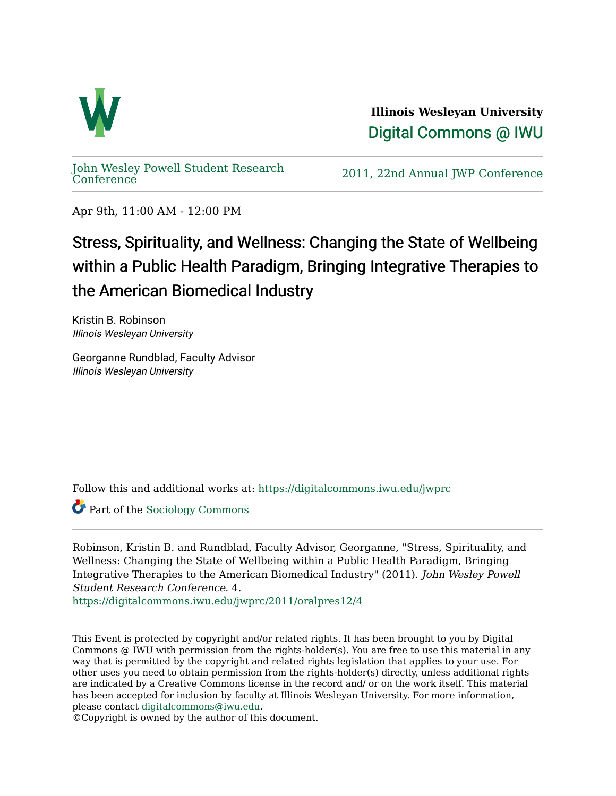

**Illinois Wesleyan University**  [Digital Commons @ IWU](https://digitalcommons.iwu.edu/) 

[John Wesley Powell Student Research](https://digitalcommons.iwu.edu/jwprc) 

2011, 22nd Annual JWP [Conference](https://digitalcommons.iwu.edu/jwprc)

Apr 9th, 11:00 AM - 12:00 PM

## Stress, Spirituality, and Wellness: Changing the State of Wellbeing within a Public Health Paradigm, Bringing Integrative Therapies to the American Biomedical Industry

Kristin B. Robinson Illinois Wesleyan University

Georganne Rundblad, Faculty Advisor Illinois Wesleyan University

Follow this and additional works at: [https://digitalcommons.iwu.edu/jwprc](https://digitalcommons.iwu.edu/jwprc?utm_source=digitalcommons.iwu.edu%2Fjwprc%2F2011%2Foralpres12%2F4&utm_medium=PDF&utm_campaign=PDFCoverPages) 

Part of the [Sociology Commons](http://network.bepress.com/hgg/discipline/416?utm_source=digitalcommons.iwu.edu%2Fjwprc%2F2011%2Foralpres12%2F4&utm_medium=PDF&utm_campaign=PDFCoverPages) 

Robinson, Kristin B. and Rundblad, Faculty Advisor, Georganne, "Stress, Spirituality, and Wellness: Changing the State of Wellbeing within a Public Health Paradigm, Bringing Integrative Therapies to the American Biomedical Industry" (2011). John Wesley Powell Student Research Conference. 4.

[https://digitalcommons.iwu.edu/jwprc/2011/oralpres12/4](https://digitalcommons.iwu.edu/jwprc/2011/oralpres12/4?utm_source=digitalcommons.iwu.edu%2Fjwprc%2F2011%2Foralpres12%2F4&utm_medium=PDF&utm_campaign=PDFCoverPages) 

This Event is protected by copyright and/or related rights. It has been brought to you by Digital Commons @ IWU with permission from the rights-holder(s). You are free to use this material in any way that is permitted by the copyright and related rights legislation that applies to your use. For other uses you need to obtain permission from the rights-holder(s) directly, unless additional rights are indicated by a Creative Commons license in the record and/ or on the work itself. This material has been accepted for inclusion by faculty at Illinois Wesleyan University. For more information, please contact [digitalcommons@iwu.edu.](mailto:digitalcommons@iwu.edu)

©Copyright is owned by the author of this document.